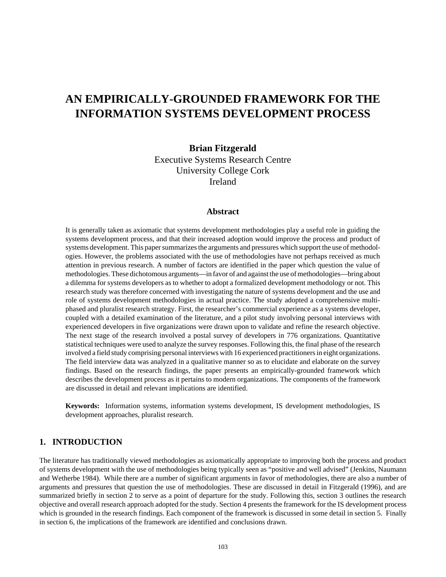# **AN EMPIRICALLY-GROUNDED FRAMEWORK FOR THE INFORMATION SYSTEMS DEVELOPMENT PROCESS**

### **Brian Fitzgerald**

Executive Systems Research Centre University College Cork Ireland

### **Abstract**

It is generally taken as axiomatic that systems development methodologies play a useful role in guiding the systems development process, and that their increased adoption would improve the process and product of systems development. This paper summarizes the arguments and pressures which support the use of methodologies. However, the problems associated with the use of methodologies have not perhaps received as much attention in previous research. A number of factors are identified in the paper which question the value of methodologies. These dichotomous arguments—in favor of and against the use of methodologies—bring about a dilemma for systems developers as to whether to adopt a formalized development methodology or not. This research study was therefore concerned with investigating the nature of systems development and the use and role of systems development methodologies in actual practice. The study adopted a comprehensive multiphased and pluralist research strategy. First, the researcher's commercial experience as a systems developer, coupled with a detailed examination of the literature, and a pilot study involving personal interviews with experienced developers in five organizations were drawn upon to validate and refine the research objective. The next stage of the research involved a postal survey of developers in 776 organizations. Quantitative statistical techniques were used to analyze the survey responses. Following this, the final phase of the research involved a field study comprising personal interviews with 16 experienced practitioners in eight organizations. The field interview data was analyzed in a qualitative manner so as to elucidate and elaborate on the survey findings. Based on the research findings, the paper presents an empirically-grounded framework which describes the development process as it pertains to modern organizations. The components of the framework are discussed in detail and relevant implications are identified.

**Keywords:** Information systems, information systems development, IS development methodologies, IS development approaches, pluralist research.

### **1. INTRODUCTION**

The literature has traditionally viewed methodologies as axiomatically appropriate to improving both the process and product of systems development with the use of methodologies being typically seen as "positive and well advised" (Jenkins, Naumann and Wetherbe 1984). While there are a number of significant arguments in favor of methodologies, there are also a number of arguments and pressures that question the use of methodologies. These are discussed in detail in Fitzgerald (1996), and are summarized briefly in section 2 to serve as a point of departure for the study. Following this, section 3 outlines the research objective and overall research approach adopted for the study. Section 4 presents the framework for the IS development process which is grounded in the research findings. Each component of the framework is discussed in some detail in section 5. Finally in section 6, the implications of the framework are identified and conclusions drawn.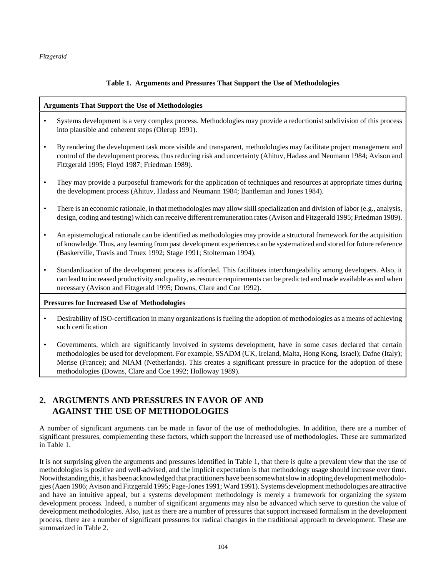### **Table 1. Arguments and Pressures That Support the Use of Methodologies**

### **Arguments That Support the Use of Methodologies**

- Systems development is a very complex process. Methodologies may provide a reductionist subdivision of this process into plausible and coherent steps (Olerup 1991).
- By rendering the development task more visible and transparent, methodologies may facilitate project management and control of the development process, thus reducing risk and uncertainty (Ahituv, Hadass and Neumann 1984; Avison and Fitzgerald 1995; Floyd 1987; Friedman 1989).
- They may provide a purposeful framework for the application of techniques and resources at appropriate times during the development process (Ahituv, Hadass and Neumann 1984; Bantleman and Jones 1984).
- There is an economic rationale, in that methodologies may allow skill specialization and division of labor (e.g., analysis, design, coding and testing) which can receive different remuneration rates (Avison and Fitzgerald 1995; Friedman 1989).
- An epistemological rationale can be identified as methodologies may provide a structural framework for the acquisition of knowledge. Thus, any learning from past development experiences can be systematized and stored for future reference (Baskerville, Travis and Truex 1992; Stage 1991; Stolterman 1994).
- Standardization of the development process is afforded. This facilitates interchangeability among developers. Also, it can lead to increased productivity and quality, as resource requirements can be predicted and made available as and when necessary (Avison and Fitzgerald 1995; Downs, Clare and Coe 1992).

#### **Pressures for Increased Use of Methodologies**

- Desirability of ISO-certification in many organizations is fueling the adoption of methodologies as a means of achieving such certification
- Governments, which are significantly involved in systems development, have in some cases declared that certain methodologies be used for development. For example, SSADM (UK, Ireland, Malta, Hong Kong, Israel); Dafne (Italy); Merise (France); and NIAM (Netherlands). This creates a significant pressure in practice for the adoption of these methodologies (Downs, Clare and Coe 1992; Holloway 1989).

## **2. ARGUMENTS AND PRESSURES IN FAVOR OF AND AGAINST THE USE OF METHODOLOGIES**

A number of significant arguments can be made in favor of the use of methodologies. In addition, there are a number of significant pressures, complementing these factors, which support the increased use of methodologies. These are summarized in Table 1.

It is not surprising given the arguments and pressures identified in Table 1, that there is quite a prevalent view that the use of methodologies is positive and well-advised, and the implicit expectation is that methodology usage should increase over time. Notwithstanding this, it has been acknowledged that practitioners have been somewhat slow in adopting development methodologies (Aaen 1986; Avison and Fitzgerald 1995; Page-Jones 1991; Ward 1991). Systems development methodologies are attractive and have an intuitive appeal, but a systems development methodology is merely a framework for organizing the system development process. Indeed, a number of significant arguments may also be advanced which serve to question the value of development methodologies. Also, just as there are a number of pressures that support increased formalism in the development process, there are a number of significant pressures for radical changes in the traditional approach to development. These are summarized in Table 2.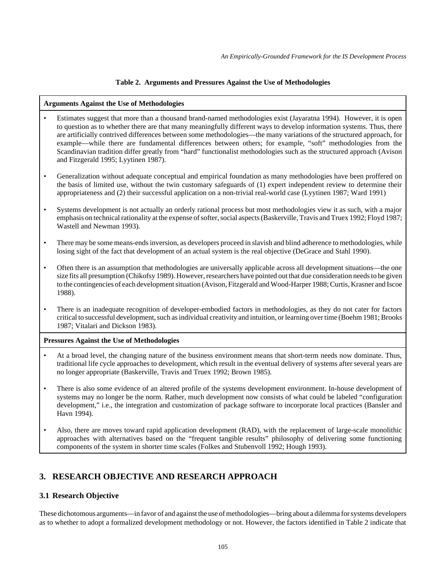### **Table 2. Arguments and Pressures Against the Use of Methodologies**

### **Arguments Against the Use of Methodologies**

- Estimates suggest that more than a thousand brand-named methodologies exist (Jayaratna 1994). However, it is open to question as to whether there are that many meaningfully different ways to develop information systems. Thus, there are artificially contrived differences between some methodologies—the many variations of the structured approach, for example—while there are fundamental differences between others; for example, "soft" methodologies from the Scandinavian tradition differ greatly from "hard" functionalist methodologies such as the structured approach (Avison and Fitzgerald 1995; Lyytinen 1987).
- Generalization without adequate conceptual and empirical foundation as many methodologies have been proffered on the basis of limited use, without the twin customary safeguards of (1) expert independent review to determine their appropriateness and (2) their successful application on a non-trivial real-world case (Lyytinen 1987; Ward 1991)
- Systems development is not actually an orderly rational process but most methodologies view it as such, with a major emphasis on technical rationality at the expense of softer, social aspects (Baskerville, Travis and Truex 1992; Floyd 1987; Wastell and Newman 1993).
- There may be some means-ends inversion, as developers proceed in slavish and blind adherence to methodologies, while losing sight of the fact that development of an actual system is the real objective (DeGrace and Stahl 1990).
- Often there is an assumption that methodologies are universally applicable across all development situations—the one size fits all presumption (Chikofsy 1989). However, researchers have pointed out that due consideration needs to be given to the contingencies of each development situation (Avison, Fitzgerald and Wood-Harper 1988; Curtis, Krasner and Iscoe 1988).
- There is an inadequate recognition of developer-embodied factors in methodologies, as they do not cater for factors critical to successful development, such as individual creativity and intuition, or learning over time (Boehm 1981; Brooks 1987; Vitalari and Dickson 1983).

#### **Pressures Against the Use of Methodologies**

- At a broad level, the changing nature of the business environment means that short-term needs now dominate. Thus, traditional life cycle approaches to development, which result in the eventual delivery of systems after several years are no longer appropriate (Baskerville, Travis and Truex 1992; Brown 1985).
- There is also some evidence of an altered profile of the systems development environment. In-house development of systems may no longer be the norm. Rather, much development now consists of what could be labeled "configuration development," i.e., the integration and customization of package software to incorporate local practices (Bansler and Havn 1994).
- Also, there are moves toward rapid application development (RAD), with the replacement of large-scale monolithic approaches with alternatives based on the "frequent tangible results" philosophy of delivering some functioning components of the system in shorter time scales (Folkes and Stubenvoll 1992; Hough 1993).

# **3. RESEARCH OBJECTIVE AND RESEARCH APPROACH**

### **3.1 Research Objective**

These dichotomous arguments—in favor of and against the use of methodologies—bring about a dilemma for systems developers as to whether to adopt a formalized development methodology or not. However, the factors identified in Table 2 indicate that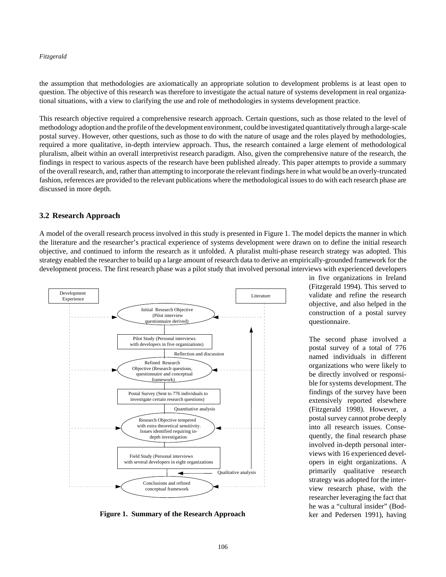the assumption that methodologies are axiomatically an appropriate solution to development problems is at least open to question. The objective of this research was therefore to investigate the actual nature of systems development in real organizational situations, with a view to clarifying the use and role of methodologies in systems development practice.

This research objective required a comprehensive research approach. Certain questions, such as those related to the level of methodology adoption and the profile of the development environment, could be investigated quantitatively through a large-scale postal survey. However, other questions, such as those to do with the nature of usage and the roles played by methodologies, required a more qualitative, in-depth interview approach. Thus, the research contained a large element of methodological pluralism, albeit within an overall interpretivist research paradigm. Also, given the comprehensive nature of the research, the findings in respect to various aspects of the research have been published already. This paper attempts to provide a summary of the overall research, and, rather than attempting to incorporate the relevant findings here in what would be an overly-truncated fashion, references are provided to the relevant publications where the methodological issues to do with each research phase are discussed in more depth.

### **3.2 Research Approach**

A model of the overall research process involved in this study is presented in Figure 1. The model depicts the manner in which the literature and the researcher's practical experience of systems development were drawn on to define the initial research objective, and continued to inform the research as it unfolded. A pluralist multi-phase research strategy was adopted. This strategy enabled the researcher to build up a large amount of research data to derive an empirically-grounded framework for the development process. The first research phase was a pilot study that involved personal interviews with experienced developers



**Figure 1. Summary of the Research Approach**

in five organizations in Ireland (Fitzgerald 1994). This served to validate and refine the research objective, and also helped in the construction of a postal survey questionnaire.

The second phase involved a postal survey of a total of 776 named individuals in different organizations who were likely to be directly involved or responsible for systems development. The findings of the survey have been extensively reported elsewhere (Fitzgerald 1998). However, a postal survey cannot probe deeply into all research issues. Consequently, the final research phase involved in-depth personal interviews with 16 experienced developers in eight organizations. A primarily qualitative research strategy was adopted for the interview research phase, with the researcher leveraging the fact that he was a "cultural insider" (Bodker and Pedersen 1991), having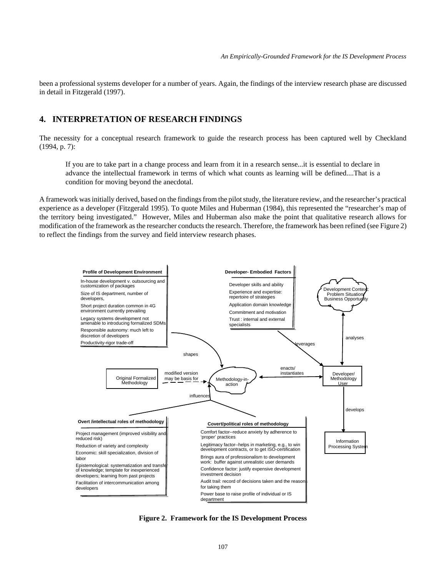been a professional systems developer for a number of years. Again, the findings of the interview research phase are discussed in detail in Fitzgerald (1997).

### **4. INTERPRETATION OF RESEARCH FINDINGS**

The necessity for a conceptual research framework to guide the research process has been captured well by Checkland (1994, p. 7):

If you are to take part in a change process and learn from it in a research sense...it is essential to declare in advance the intellectual framework in terms of which what counts as learning will be defined....That is a condition for moving beyond the anecdotal.

A framework was initially derived, based on the findings from the pilot study, the literature review, and the researcher's practical experience as a developer (Fitzgerald 1995). To quote Miles and Huberman (1984), this represented the "researcher's map of the territory being investigated." However, Miles and Huberman also make the point that qualitative research allows for modification of the framework as the researcher conducts the research. Therefore, the framework has been refined (see Figure 2) to reflect the findings from the survey and field interview research phases.



**Figure 2. Framework for the IS Development Process**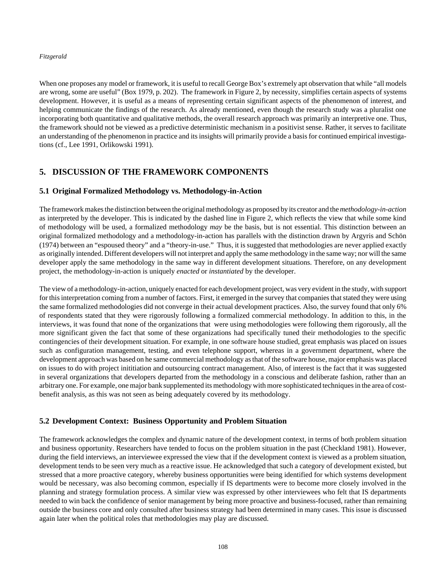When one proposes any model or framework, it is useful to recall George Box's extremely apt observation that while "all models are wrong, some are useful" (Box 1979, p. 202). The framework in Figure 2, by necessity, simplifies certain aspects of systems development. However, it is useful as a means of representing certain significant aspects of the phenomenon of interest, and helping communicate the findings of the research. As already mentioned, even though the research study was a pluralist one incorporating both quantitative and qualitative methods, the overall research approach was primarily an interpretive one. Thus, the framework should not be viewed as a predictive deterministic mechanism in a positivist sense. Rather, it serves to facilitate an understanding of the phenomenon in practice and its insights will primarily provide a basis for continued empirical investigations (cf., Lee 1991, Orlikowski 1991).

# **5. DISCUSSION OF THE FRAMEWORK COMPONENTS**

### **5.1 Original Formalized Methodology vs. Methodology-in-Action**

The framework makes the distinction between the original methodology as proposed by its creator and the *methodology-in-action* as interpreted by the developer. This is indicated by the dashed line in Figure 2, which reflects the view that while some kind of methodology will be used, a formalized methodology *may* be the basis, but is not essential. This distinction between an original formalized methodology and a methodology*-*in-action has parallels with the distinction drawn by Argyris and Schön (1974) between an "espoused theory" and a "theory-in-use." Thus, it is suggested that methodologies are never applied exactly as originally intended. Different developers will not interpret and apply the same methodology in the same way; nor will the same developer apply the same methodology in the same way in different development situations. Therefore, on any development project, the methodology-in-action is uniquely *enacted* or *instantiated* by the developer.

The view of a methodology-in-action, uniquely enacted for each development project, was very evident in the study, with support for this interpretation coming from a number of factors. First, it emerged in the survey that companies that stated they were using the same formalized methodologies did not converge in their actual development practices. Also, the survey found that only 6% of respondents stated that they were rigorously following a formalized commercial methodology. In addition to this, in the interviews, it was found that none of the organizations that were using methodologies were following them rigorously, all the more significant given the fact that some of these organizations had specifically tuned their methodologies to the specific contingencies of their development situation. For example, in one software house studied, great emphasis was placed on issues such as configuration management, testing, and even telephone support, whereas in a government department, where the development approach was based on he same commercial methodology as that of the software house, major emphasis was placed on issues to do with project inititiation and outsourcing contract management. Also, of interest is the fact that it was suggested in several organizations that developers departed from the methodology in a conscious and deliberate fashion, rather than an arbitrary one. For example, one major bank supplemented its methodology with more sophisticated techniques in the area of costbenefit analysis, as this was not seen as being adequately covered by its methodology.

### **5.2 Development Context: Business Opportunity and Problem Situation**

The framework acknowledges the complex and dynamic nature of the development context, in terms of both problem situation and business opportunity. Researchers have tended to focus on the problem situation in the past (Checkland 1981). However, during the field interviews, an interviewee expressed the view that if the development context is viewed as a problem situation, development tends to be seen very much as a reactive issue. He acknowledged that such a category of development existed, but stressed that a more proactive category, whereby business opportunities were being identified for which systems development would be necessary, was also becoming common, especially if IS departments were to become more closely involved in the planning and strategy formulation process. A similar view was expressed by other interviewees who felt that IS departments needed to win back the confidence of senior management by being more proactive and business-focused, rather than remaining outside the business core and only consulted after business strategy had been determined in many cases. This issue is discussed again later when the political roles that methodologies may play are discussed.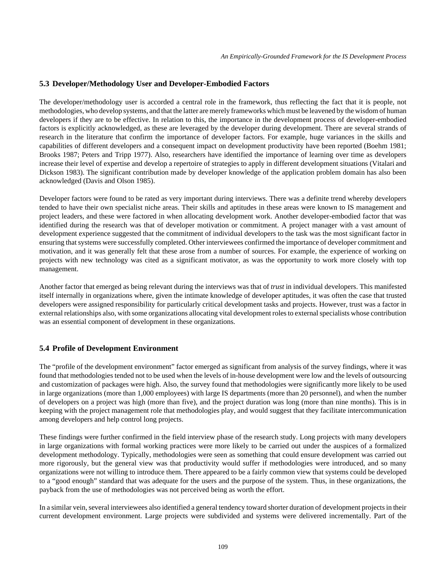### **5.3 Developer/Methodology User and Developer-Embodied Factors**

The developer/methodology user is accorded a central role in the framework, thus reflecting the fact that it is people, not methodologies, who develop systems, and that the latter are merely frameworks which must be leavened by the wisdom of human developers if they are to be effective. In relation to this, the importance in the development process of developer-embodied factors is explicitly acknowledged, as these are leveraged by the developer during development. There are several strands of research in the literature that confirm the importance of developer factors. For example, huge variances in the skills and capabilities of different developers and a consequent impact on development productivity have been reported (Boehm 1981; Brooks 1987; Peters and Tripp 1977). Also, researchers have identified the importance of learning over time as developers increase their level of expertise and develop a repertoire of strategies to apply in different development situations (Vitalari and Dickson 1983). The significant contribution made by developer knowledge of the application problem domain has also been acknowledged (Davis and Olson 1985).

Developer factors were found to be rated as very important during interviews. There was a definite trend whereby developers tended to have their own specialist niche areas. Their skills and aptitudes in these areas were known to IS management and project leaders, and these were factored in when allocating development work. Another developer-embodied factor that was identified during the research was that of developer motivation or commitment. A project manager with a vast amount of development experience suggested that the commitment of individual developers to the task was the most significant factor in ensuring that systems were successfully completed. Other interviewees confirmed the importance of developer commitment and motivation, and it was generally felt that these arose from a number of sources. For example, the experience of working on projects with new technology was cited as a significant motivator, as was the opportunity to work more closely with top management.

Another factor that emerged as being relevant during the interviews was that of *trust* in individual developers. This manifested itself internally in organizations where, given the intimate knowledge of developer aptitudes, it was often the case that trusted developers were assigned responsibility for particularly critical development tasks and projects. However, trust was a factor in external relationships also, with some organizations allocating vital development roles to external specialists whose contribution was an essential component of development in these organizations.

### **5.4 Profile of Development Environment**

The "profile of the development environment" factor emerged as significant from analysis of the survey findings, where it was found that methodologies tended not to be used when the levels of in-house development were low and the levels of outsourcing and customization of packages were high. Also, the survey found that methodologies were significantly more likely to be used in large organizations (more than 1,000 employees) with large IS departments (more than 20 personnel), and when the number of developers on a project was high (more than five), and the project duration was long (more than nine months). This is in keeping with the project management role that methodologies play, and would suggest that they facilitate intercommunication among developers and help control long projects.

These findings were further confirmed in the field interview phase of the research study. Long projects with many developers in large organizations with formal working practices were more likely to be carried out under the auspices of a formalized development methodology. Typically, methodologies were seen as something that could ensure development was carried out more rigorously, but the general view was that productivity would suffer if methodologies were introduced, and so many organizations were not willing to introduce them. There appeared to be a fairly common view that systems could be developed to a "good enough" standard that was adequate for the users and the purpose of the system. Thus, in these organizations, the payback from the use of methodologies was not perceived being as worth the effort.

In a similar vein, several interviewees also identified a general tendency toward shorter duration of development projects in their current development environment. Large projects were subdivided and systems were delivered incrementally. Part of the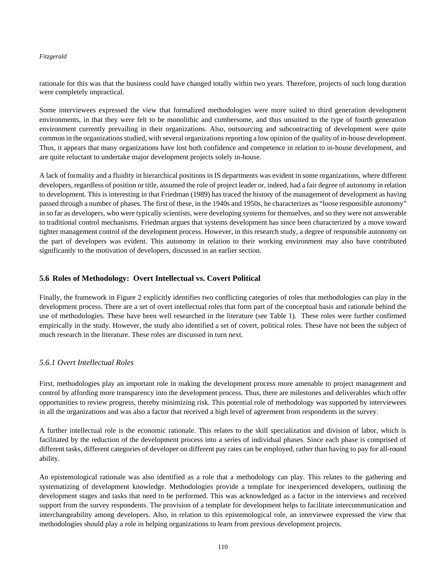rationale for this was that the business could have changed totally within two years. Therefore, projects of such long duration were completely impractical.

Some interviewees expressed the view that formalized methodologies were more suited to third generation development environments, in that they were felt to be monolithic and cumbersome, and thus unsuited to the type of fourth generation environment currently prevailing in their organizations. Also, outsourcing and subcontracting of development were quite common in the organizations studied, with several organizations reporting a low opinion of the quality of in-house development. Thus, it appears that many organizations have lost both confidence and competence in relation to in-house development, and are quite reluctant to undertake major development projects solely in-house.

A lack of formality and a fluidity in hierarchical positions in IS departments was evident in some organizations, where different developers, regardless of position or title, assumed the role of project leader or, indeed, had a fair degree of autonomy in relation to development. This is interesting in that Friedman (1989) has traced the history of the management of development as having passed through a number of phases. The first of these, in the 1940s and 1950s, he characterizes as "loose responsible autonomy" in so far as developers, who were typically scientists, were developing systems for themselves, and so they were not answerable to traditional control mechanisms. Friedman argues that systems development has since been characterized by a move toward tighter management control of the development process. However, in this research study, a degree of responsible autonomy on the part of developers was evident. This autonomy in relation to their working environment may also have contributed significantly to the motivation of developers, discussed in an earlier section.

### **5.6 Roles of Methodology: Overt Intellectual vs. Covert Political**

Finally, the framework in Figure 2 explicitly identifies two conflicting categories of roles that methodologies can play in the development process. There are a set of overt intellectual roles that form part of the conceptual basis and rationale behind the use of methodologies. These have been well researched in the literature (see Table 1). These roles were further confirmed empirically in the study. However, the study also identified a set of covert, political roles. These have not been the subject of much research in the literature. These roles are discussed in turn next.

### *5.6.1 Overt Intellectual Roles*

First, methodologies play an important role in making the development process more amenable to project management and control by affording more transparency into the development process. Thus, there are milestones and deliverables which offer opportunities to review progress, thereby minimizing risk. This potential role of methodology was supported by interviewees in all the organizations and was also a factor that received a high level of agreement from respondents in the survey.

A further intellectual role is the economic rationale. This relates to the skill specialization and division of labor, which is facilitated by the reduction of the development process into a series of individual phases. Since each phase is comprised of different tasks, different categories of developer on different pay rates can be employed, rather than having to pay for all-round ability.

An epistemological rationale was also identified as a role that a methodology can play. This relates to the gathering and systematizing of development knowledge. Methodologies provide a template for inexperienced developers, outlining the development stages and tasks that need to be performed. This was acknowledged as a factor in the interviews and received support from the survey respondents. The provision of a template for development helps to facilitate intercommunication and interchangeability among developers. Also, in relation to this epistemological role, an interviewee expressed the view that methodologies should play a role in helping organizations to learn from previous development projects.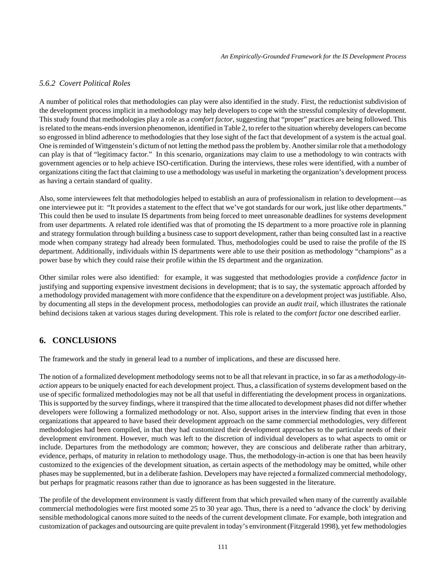### *5.6.2 Covert Political Roles*

A number of political roles that methodologies can play were also identified in the study. First, the reductionist subdivision of the development process implicit in a methodology may help developers to cope with the stressful complexity of development. This study found that methodologies play a role as a *comfort factor*, suggesting that "proper" practices are being followed. This is related to the means-ends inversion phenomenon, identified in Table 2, to refer to the situation whereby developers can become so engrossed in blind adherence to methodologies that they lose sight of the fact that development of a system is the actual goal. One is reminded of Wittgenstein's dictum of not letting the method pass the problem by. Another similar role that a methodology can play is that of "legitimacy factor." In this scenario, organizations may claim to use a methodology to win contracts with government agencies or to help achieve ISO-certification. During the interviews, these roles were identified, with a number of organizations citing the fact that claiming to use a methodology was useful in marketing the organization's development process as having a certain standard of quality.

Also, some interviewees felt that methodologies helped to establish an aura of professionalism in relation to development—as one interviewee put it: "It provides a statement to the effect that we've got standards for our work, just like other departments." This could then be used to insulate IS departments from being forced to meet unreasonable deadlines for systems development from user departments. A related role identified was that of promoting the IS department to a more proactive role in planning and strategy formulation through building a business case to support development, rather than being consulted last in a reactive mode when company strategy had already been formulated. Thus, methodologies could be used to raise the profile of the IS department. Additionally, individuals within IS departments were able to use their position as methodology "champions" as a power base by which they could raise their profile within the IS department and the organization.

Other similar roles were also identified: for example, it was suggested that methodologies provide a *confidence factor* in justifying and supporting expensive investment decisions in development; that is to say, the systematic approach afforded by a methodology provided management with more confidence that the expenditure on a development project was justifiable. Also, by documenting all steps in the development process, methodologies can provide an *audit trail,* which illustrates the rationale behind decisions taken at various stages during development. This role is related to the *comfort factor* one described earlier.

# **6. CONCLUSIONS**

The framework and the study in general lead to a number of implications, and these are discussed here.

The notion of a formalized development methodology seems not to be all that relevant in practice, in so far as a *methodology-inaction* appears to be uniquely enacted for each development project. Thus, a classification of systems development based on the use of specific formalized methodologies may not be all that useful in differentiating the development process in organizations. This is supported by the survey findings, where it transpired that the time allocated to development phases did not differ whether developers were following a formalized methodology or not. Also, support arises in the interview finding that even in those organizations that appeared to have based their development approach on the same commercial methodologies, very different methodologies had been compiled, in that they had customized their development approaches to the particular needs of their development environment. However, much was left to the discretion of individual developers as to what aspects to omit or include. Departures from the methodology are common; however, they are conscious and deliberate rather than arbitrary, evidence, perhaps, of maturity in relation to methodology usage. Thus, the methodology-in-action is one that has been heavily customized to the exigencies of the development situation, as certain aspects of the methodology may be omitted, while other phases may be supplemented, but in a deliberate fashion. Developers may have rejected a formalized commercial methodology, but perhaps for pragmatic reasons rather than due to ignorance as has been suggested in the literature.

The profile of the development environment is vastly different from that which prevailed when many of the currently available commercial methodologies were first mooted some 25 to 30 year ago. Thus, there is a need to 'advance the clock' by deriving sensible methodological canons more suited to the needs of the current development climate. For example, both integration and customization of packages and outsourcing are quite prevalent in today's environment (Fitzgerald 1998), yet few methodologies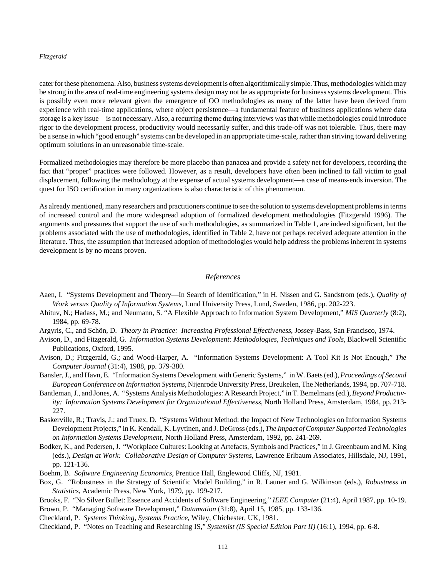cater for these phenomena. Also, business systems development is often algorithmically simple. Thus, methodologies which may be strong in the area of real-time engineering systems design may not be as appropriate for business systems development. This is possibly even more relevant given the emergence of OO methodologies as many of the latter have been derived from experience with real-time applications, where object persistence—a fundamental feature of business applications where data storage is a key issue—is not necessary. Also, a recurring theme during interviews was that while methodologies could introduce rigor to the development process, productivity would necessarily suffer, and this trade-off was not tolerable. Thus, there may be a sense in which "good enough" systems can be developed in an appropriate time-scale, rather than striving toward delivering optimum solutions in an unreasonable time-scale.

Formalized methodologies may therefore be more placebo than panacea and provide a safety net for developers, recording the fact that "proper" practices were followed. However, as a result, developers have often been inclined to fall victim to goal displacement, following the methodology at the expense of actual systems development—a case of means-ends inversion. The quest for ISO certification in many organizations is also characteristic of this phenomenon.

As already mentioned, many researchers and practitioners continue to see the solution to systems development problems in terms of increased control and the more widespread adoption of formalized development methodologies (Fitzgerald 1996). The arguments and pressures that support the use of such methodologies, as summarized in Table 1, are indeed significant, but the problems associated with the use of methodologies, identified in Table 2, have not perhaps received adequate attention in the literature. Thus, the assumption that increased adoption of methodologies would help address the problems inherent in systems development is by no means proven.

### *References*

- Aaen, I. "Systems Development and Theory—In Search of Identification," in H. Nissen and G. Sandstrom (eds.), *Quality of Work versus Quality of Information Systems*, Lund University Press, Lund, Sweden, 1986, pp. 202-223.
- Ahituv, N.; Hadass, M.; and Neumann, S. "A Flexible Approach to Information System Development," *MIS Quarterly* (8:2), 1984, pp. 69-78.
- Argyris, C., and Schön, D. *Theory in Practice: Increasing Professional Effectiveness*, Jossey-Bass, San Francisco, 1974.
- Avison, D., and Fitzgerald, G. *Information Systems Development: Methodologies, Techniques and Tools*, Blackwell Scientific Publications, Oxford, 1995.
- Avison, D.; Fitzgerald, G.; and Wood-Harper, A. "Information Systems Development: A Tool Kit Is Not Enough," *The Computer Journal* (31:4), 1988, pp. 379-380.
- Bansler, J., and Havn, E. "Information Systems Development with Generic Systems," in W. Baets (ed.), *Proceedings of Second European Conference on Information Systems*, Nijenrode University Press, Breukelen, The Netherlands, 1994, pp. 707-718.
- Bantleman, J., and Jones, A. "Systems Analysis Methodologies: A Research Project," in T. Bemelmans (ed.), *Beyond Productivity: Information Systems Development for Organizational Effectiveness*, North Holland Press, Amsterdam, 1984, pp. 213- 227.
- Baskerville, R.; Travis, J.; and Truex, D. "Systems Without Method: the Impact of New Technologies on Information Systems Development Projects," in K. Kendall, K. Lyytinen, and J. DeGross (eds.), *The Impact of Computer Supported Technologies on Information Systems Development*, North Holland Press, Amsterdam, 1992, pp. 241-269.
- Bodker, K., and Pedersen, J. "Workplace Cultures: Looking at Artefacts, Symbols and Practices," in J. Greenbaum and M. King (eds.), *Design at Work: Collaborative Design of Computer Systems*, Lawrence Erlbaum Associates, Hillsdale, NJ, 1991, pp. 121-136.
- Boehm, B. *Software Engineering Economics*, Prentice Hall, Englewood Cliffs, NJ, 1981.
- Box, G. "Robustness in the Strategy of Scientific Model Building," in R. Launer and G. Wilkinson (eds.), *Robustness in Statistics*, Academic Press, New York, 1979, pp. 199-217.
- Brooks, F. "No Silver Bullet: Essence and Accidents of Software Engineering," *IEEE Computer* (21:4), April 1987, pp. 10-19.
- Brown, P. "Managing Software Development," *Datamation* (31:8), April 15, 1985, pp. 133-136.
- Checkland, P. *Systems Thinking, Systems Practice*, Wiley, Chichester, UK, 1981.
- Checkland, P. "Notes on Teaching and Researching IS," *Systemist (IS Special Edition Part II)* (16:1), 1994, pp. 6-8.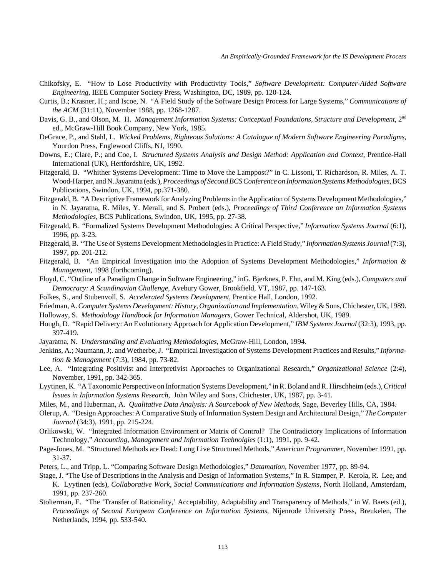- Chikofsky, E. "How to Lose Productivity with Productivity Tools," *Software Development: Computer-Aided Software Engineering*, IEEE Computer Society Press, Washington, DC, 1989, pp. 120-124.
- Curtis, B.; Krasner, H.; and Iscoe, N. "A Field Study of the Software Design Process for Large Systems," *Communications of the ACM* (31:11), November 1988, pp. 1268-1287.
- Davis, G. B., and Olson, M. H. *Management Information Systems: Conceptual Foundations, Structure and Development*, 2<sup>nd</sup> ed., McGraw-Hill Book Company, New York, 1985.
- DeGrace, P., and Stahl, L. *Wicked Problems, Righteous Solutions: A Catalogue of Modern Software Engineering Paradigms*, Yourdon Press, Englewood Cliffs, NJ, 1990.
- Downs, E.; Clare, P.; and Coe, I. *Structured Systems Analysis and Design Method: Application and Context*, Prentice-Hall International (UK), Hertfordshire, UK, 1992.
- Fitzgerald, B. "Whither Systems Development: Time to Move the Lamppost?" in C. Lissoni, T. Richardson, R. Miles, A. T. Wood-Harper, and N. Jayaratna (eds.), *Proceedings of Second BCS Conference on Information Systems Methodologies*, BCS Publications, Swindon, UK, 1994, pp.371-380.
- Fitzgerald, B. "A Descriptive Framework for Analyzing Problems in the Application of Systems Development Methodologies," in N. Jayaratna, R. Miles, Y. Merali, and S. Probert (eds.), *Proceedings of Third Conference on Information Systems Methodologies*, BCS Publications, Swindon, UK, 1995, pp. 27-38.
- Fitzgerald, B. "Formalized Systems Development Methodologies: A Critical Perspective," *Information Systems Journal* (6:1), 1996, pp. 3-23.
- Fitzgerald, B. "The Use of Systems Development Methodologies in Practice: A Field Study," *Information Systems Journal* (7:3), 1997, pp. 201-212.
- Fitzgerald, B. "An Empirical Investigation into the Adoption of Systems Development Methodologies," *Information & Management*, 1998 (forthcoming).
- Floyd, C. "Outline of a Paradigm Change in Software Engineering," inG. Bjerknes, P. Ehn, and M. King (eds.), *Computers and Democracy: A Scandinavian Challenge*, Avebury Gower, Brookfield, VT, 1987, pp. 147-163.
- Folkes, S., and Stubenvoll, S. *Accelerated Systems Development*, Prentice Hall, London, 1992.
- Friedman, A. *Computer Systems Development: History, Organization and Implementation*, Wiley & Sons, Chichester, UK, 1989.
- Holloway, S. *Methodology Handbook for Information Managers*, Gower Technical, Aldershot, UK, 1989.
- Hough, D. "Rapid Delivery: An Evolutionary Approach for Application Development," *IBM Systems Journal* (32:3), 1993, pp. 397-419.
- Jayaratna, N. *Understanding and Evaluating Methodologies*, McGraw-Hill, London, 1994.
- Jenkins, A.; Naumann, J;. and Wetherbe, J. "Empirical Investigation of Systems Development Practices and Results," *Information & Management* (7:3), 1984, pp. 73-82.
- Lee, A. "Integrating Positivist and Interpretivist Approaches to Organizational Research," *Organizational Science* (2:4), November, 1991, pp. 342-365.
- Lyytinen, K. "A Taxonomic Perspective on Information Systems Development," in R. Boland and R. Hirschheim (eds.), *Critical Issues in Information Systems Research*, John Wiley and Sons, Chichester, UK, 1987, pp. 3-41.
- Miles, M., and Huberman, A. *Qualitative Data Analysis: A Sourcebook of New Methods*, Sage, Beverley Hills, CA, 1984.
- Olerup, A. "Design Approaches: A Comparative Study of Information System Design and Architectural Design," *The Computer Journal* (34:3), 1991, pp. 215-224.
- Orlikowski, W. "Integrated Information Environment or Matrix of Control? The Contradictory Implications of Information Technology," *Accounting, Management and Information Technolgies* (1:1), 1991, pp. 9-42.
- Page-Jones, M. "Structured Methods are Dead: Long Live Structured Methods," *American Programmer*, November 1991, pp. 31-37.
- Peters, L., and Tripp, L. "Comparing Software Design Methodologies," *Datamation*, November 1977, pp. 89-94.
- Stage, J. "The Use of Descriptions in the Analysis and Design of Information Systems," In R. Stamper, P. Kerola, R. Lee, and K. Lyytinen (eds), *Collaborative Work, Social Communications and Information Systems*, North Holland, Amsterdam, 1991, pp. 237-260.
- Stolterman, E. "The 'Transfer of Rationality,' Acceptability, Adaptability and Transparency of Methods," in W. Baets (ed.), *Proceedings of Second European Conference on Information Systems*, Nijenrode University Press, Breukelen, The Netherlands, 1994, pp. 533-540.